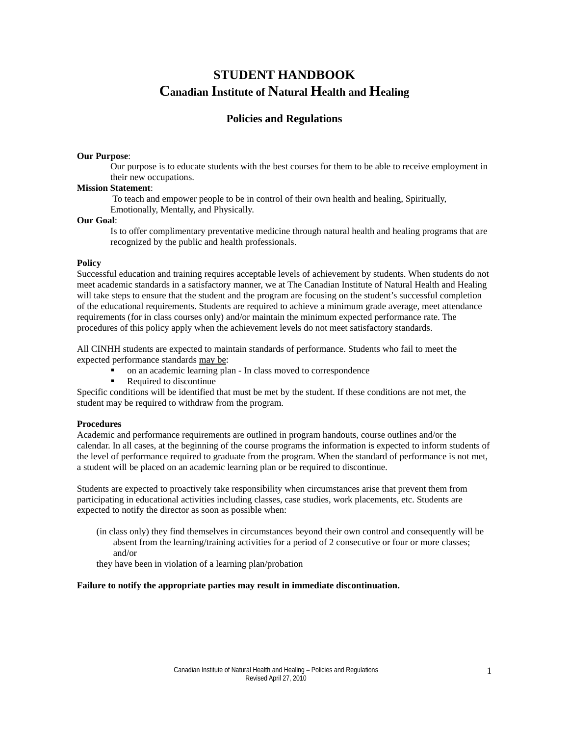# **STUDENT HANDBOOK Canadian Institute of Natural Health and Healing**

# **Policies and Regulations**

#### **Our Purpose**:

Our purpose is to educate students with the best courses for them to be able to receive employment in their new occupations.

#### **Mission Statement**:

 To teach and empower people to be in control of their own health and healing, Spiritually, Emotionally, Mentally, and Physically.

#### **Our Goal**:

Is to offer complimentary preventative medicine through natural health and healing programs that are recognized by the public and health professionals.

#### **Policy**

Successful education and training requires acceptable levels of achievement by students. When students do not meet academic standards in a satisfactory manner, we at The Canadian Institute of Natural Health and Healing will take steps to ensure that the student and the program are focusing on the student's successful completion of the educational requirements. Students are required to achieve a minimum grade average, meet attendance requirements (for in class courses only) and/or maintain the minimum expected performance rate. The procedures of this policy apply when the achievement levels do not meet satisfactory standards.

All CINHH students are expected to maintain standards of performance. Students who fail to meet the expected performance standards may be:

- on an academic learning plan In class moved to correspondence
- Required to discontinue

Specific conditions will be identified that must be met by the student. If these conditions are not met, the student may be required to withdraw from the program.

#### **Procedures**

Academic and performance requirements are outlined in program handouts, course outlines and/or the calendar. In all cases, at the beginning of the course programs the information is expected to inform students of the level of performance required to graduate from the program. When the standard of performance is not met, a student will be placed on an academic learning plan or be required to discontinue.

Students are expected to proactively take responsibility when circumstances arise that prevent them from participating in educational activities including classes, case studies, work placements, etc. Students are expected to notify the director as soon as possible when:

(in class only) they find themselves in circumstances beyond their own control and consequently will be absent from the learning/training activities for a period of 2 consecutive or four or more classes; and/or

they have been in violation of a learning plan/probation

#### **Failure to notify the appropriate parties may result in immediate discontinuation.**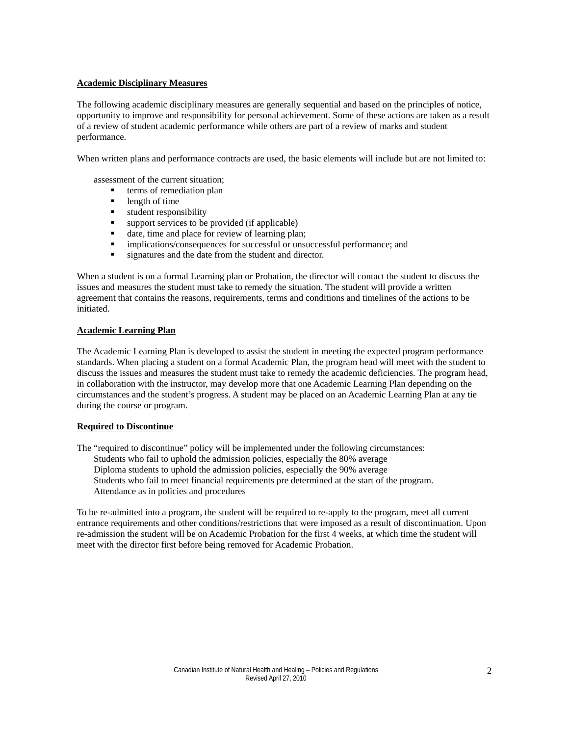#### **Academic Disciplinary Measures**

The following academic disciplinary measures are generally sequential and based on the principles of notice, opportunity to improve and responsibility for personal achievement. Some of these actions are taken as a result of a review of student academic performance while others are part of a review of marks and student performance.

When written plans and performance contracts are used, the basic elements will include but are not limited to:

assessment of the current situation;

- terms of remediation plan
- length of time
- **student responsibility**
- $\blacksquare$  support services to be provided (if applicable)
- date, time and place for review of learning plan;
- implications/consequences for successful or unsuccessful performance; and
- signatures and the date from the student and director.

When a student is on a formal Learning plan or Probation, the director will contact the student to discuss the issues and measures the student must take to remedy the situation. The student will provide a written agreement that contains the reasons, requirements, terms and conditions and timelines of the actions to be initiated.

#### **Academic Learning Plan**

The Academic Learning Plan is developed to assist the student in meeting the expected program performance standards. When placing a student on a formal Academic Plan, the program head will meet with the student to discuss the issues and measures the student must take to remedy the academic deficiencies. The program head, in collaboration with the instructor, may develop more that one Academic Learning Plan depending on the circumstances and the student's progress. A student may be placed on an Academic Learning Plan at any tie during the course or program.

### **Required to Discontinue**

The "required to discontinue" policy will be implemented under the following circumstances: Students who fail to uphold the admission policies, especially the 80% average Diploma students to uphold the admission policies, especially the 90% average Students who fail to meet financial requirements pre determined at the start of the program. Attendance as in policies and procedures

To be re-admitted into a program, the student will be required to re-apply to the program, meet all current entrance requirements and other conditions/restrictions that were imposed as a result of discontinuation. Upon re-admission the student will be on Academic Probation for the first 4 weeks, at which time the student will meet with the director first before being removed for Academic Probation.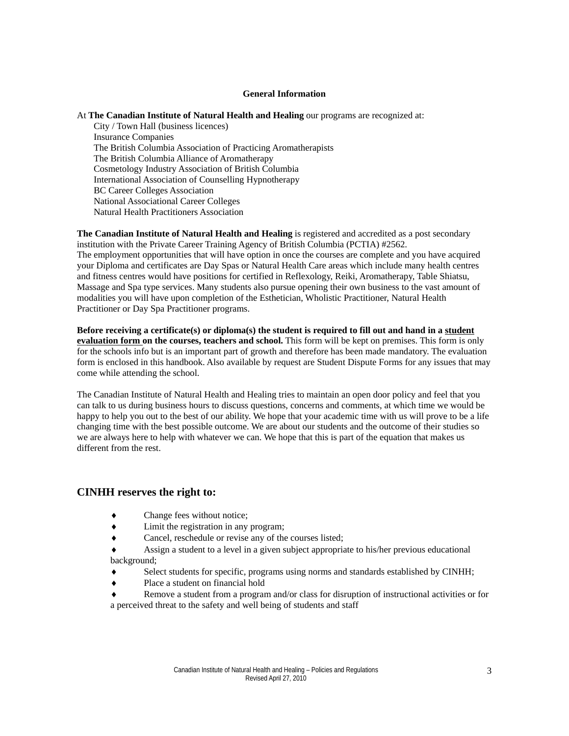#### **General Information**

#### At **The Canadian Institute of Natural Health and Healing** our programs are recognized at:

City / Town Hall (business licences) Insurance Companies The British Columbia Association of Practicing Aromatherapists The British Columbia Alliance of Aromatherapy Cosmetology Industry Association of British Columbia International Association of Counselling Hypnotherapy BC Career Colleges Association National Associational Career Colleges Natural Health Practitioners Association

**The Canadian Institute of Natural Health and Healing** is registered and accredited as a post secondary institution with the Private Career Training Agency of British Columbia (PCTIA) #2562. The employment opportunities that will have option in once the courses are complete and you have acquired your Diploma and certificates are Day Spas or Natural Health Care areas which include many health centres and fitness centres would have positions for certified in Reflexology, Reiki, Aromatherapy, Table Shiatsu, Massage and Spa type services. Many students also pursue opening their own business to the vast amount of modalities you will have upon completion of the Esthetician, Wholistic Practitioner, Natural Health Practitioner or Day Spa Practitioner programs.

**Before receiving a certificate(s) or diploma(s) the student is required to fill out and hand in a student evaluation form on the courses, teachers and school.** This form will be kept on premises. This form is only for the schools info but is an important part of growth and therefore has been made mandatory. The evaluation form is enclosed in this handbook. Also available by request are Student Dispute Forms for any issues that may come while attending the school.

The Canadian Institute of Natural Health and Healing tries to maintain an open door policy and feel that you can talk to us during business hours to discuss questions, concerns and comments, at which time we would be happy to help you out to the best of our ability. We hope that your academic time with us will prove to be a life changing time with the best possible outcome. We are about our students and the outcome of their studies so we are always here to help with whatever we can. We hope that this is part of the equation that makes us different from the rest.

# **CINHH reserves the right to:**

- Change fees without notice;
- ♦ Limit the registration in any program;
- ♦ Cancel, reschedule or revise any of the courses listed;

Assign a student to a level in a given subject appropriate to his/her previous educational background;

- Select students for specific, programs using norms and standards established by CINHH;
- ♦ Place a student on financial hold
- ♦ Remove a student from a program and/or class for disruption of instructional activities or for a perceived threat to the safety and well being of students and staff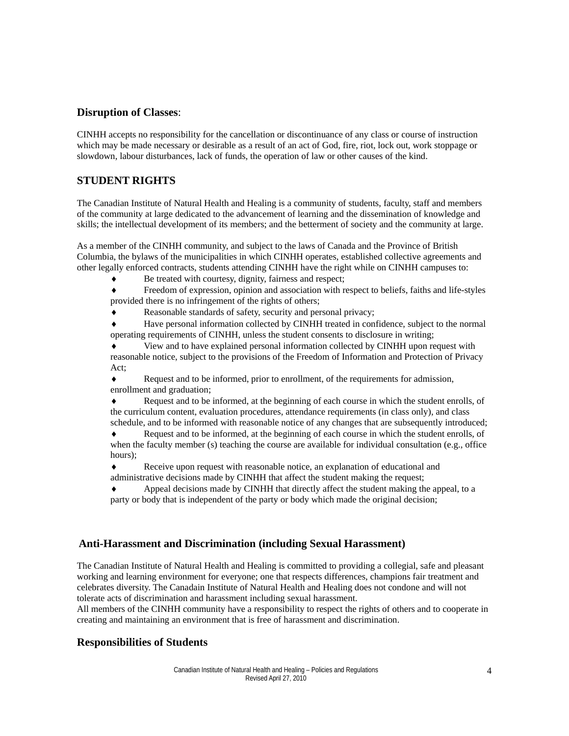# **Disruption of Classes**:

CINHH accepts no responsibility for the cancellation or discontinuance of any class or course of instruction which may be made necessary or desirable as a result of an act of God, fire, riot, lock out, work stoppage or slowdown, labour disturbances, lack of funds, the operation of law or other causes of the kind.

# **STUDENT RIGHTS**

The Canadian Institute of Natural Health and Healing is a community of students, faculty, staff and members of the community at large dedicated to the advancement of learning and the dissemination of knowledge and skills; the intellectual development of its members; and the betterment of society and the community at large.

As a member of the CINHH community, and subject to the laws of Canada and the Province of British Columbia, the bylaws of the municipalities in which CINHH operates, established collective agreements and other legally enforced contracts, students attending CINHH have the right while on CINHH campuses to:

Be treated with courtesy, dignity, fairness and respect;

Freedom of expression, opinion and association with respect to beliefs, faiths and life-styles provided there is no infringement of the rights of others;

Reasonable standards of safety, security and personal privacy;

Have personal information collected by CINHH treated in confidence, subject to the normal operating requirements of CINHH, unless the student consents to disclosure in writing;

View and to have explained personal information collected by CINHH upon request with reasonable notice, subject to the provisions of the Freedom of Information and Protection of Privacy Act;

♦ Request and to be informed, prior to enrollment, of the requirements for admission, enrollment and graduation;

Request and to be informed, at the beginning of each course in which the student enrolls, of the curriculum content, evaluation procedures, attendance requirements (in class only), and class schedule, and to be informed with reasonable notice of any changes that are subsequently introduced;

Request and to be informed, at the beginning of each course in which the student enrolls, of when the faculty member (s) teaching the course are available for individual consultation (e.g., office hours);

Receive upon request with reasonable notice, an explanation of educational and administrative decisions made by CINHH that affect the student making the request;

Appeal decisions made by CINHH that directly affect the student making the appeal, to a party or body that is independent of the party or body which made the original decision;

# **Anti-Harassment and Discrimination (including Sexual Harassment)**

The Canadian Institute of Natural Health and Healing is committed to providing a collegial, safe and pleasant working and learning environment for everyone; one that respects differences, champions fair treatment and celebrates diversity. The Canadain Institute of Natural Health and Healing does not condone and will not tolerate acts of discrimination and harassment including sexual harassment.

All members of the CINHH community have a responsibility to respect the rights of others and to cooperate in creating and maintaining an environment that is free of harassment and discrimination.

# **Responsibilities of Students**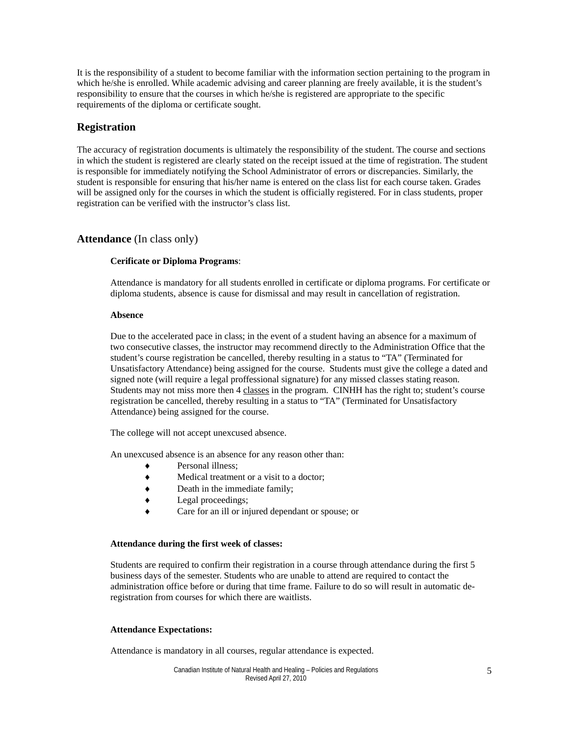It is the responsibility of a student to become familiar with the information section pertaining to the program in which he/she is enrolled. While academic advising and career planning are freely available, it is the student's responsibility to ensure that the courses in which he/she is registered are appropriate to the specific requirements of the diploma or certificate sought.

### **Registration**

The accuracy of registration documents is ultimately the responsibility of the student. The course and sections in which the student is registered are clearly stated on the receipt issued at the time of registration. The student is responsible for immediately notifying the School Administrator of errors or discrepancies. Similarly, the student is responsible for ensuring that his/her name is entered on the class list for each course taken. Grades will be assigned only for the courses in which the student is officially registered. For in class students, proper registration can be verified with the instructor's class list.

### **Attendance** (In class only)

#### **Cerificate or Diploma Programs**:

Attendance is mandatory for all students enrolled in certificate or diploma programs. For certificate or diploma students, absence is cause for dismissal and may result in cancellation of registration.

#### **Absence**

Due to the accelerated pace in class; in the event of a student having an absence for a maximum of two consecutive classes, the instructor may recommend directly to the Administration Office that the student's course registration be cancelled, thereby resulting in a status to "TA" (Terminated for Unsatisfactory Attendance) being assigned for the course. Students must give the college a dated and signed note (will require a legal proffessional signature) for any missed classes stating reason. Students may not miss more then 4 classes in the program. CINHH has the right to; student's course registration be cancelled, thereby resulting in a status to "TA" (Terminated for Unsatisfactory Attendance) being assigned for the course.

The college will not accept unexcused absence.

An unexcused absence is an absence for any reason other than:

- Personal illness:
- Medical treatment or a visit to a doctor;
- ♦ Death in the immediate family;
- ♦ Legal proceedings;
- Care for an ill or injured dependant or spouse; or

#### **Attendance during the first week of classes:**

Students are required to confirm their registration in a course through attendance during the first 5 business days of the semester. Students who are unable to attend are required to contact the administration office before or during that time frame. Failure to do so will result in automatic deregistration from courses for which there are waitlists.

#### **Attendance Expectations:**

Attendance is mandatory in all courses, regular attendance is expected.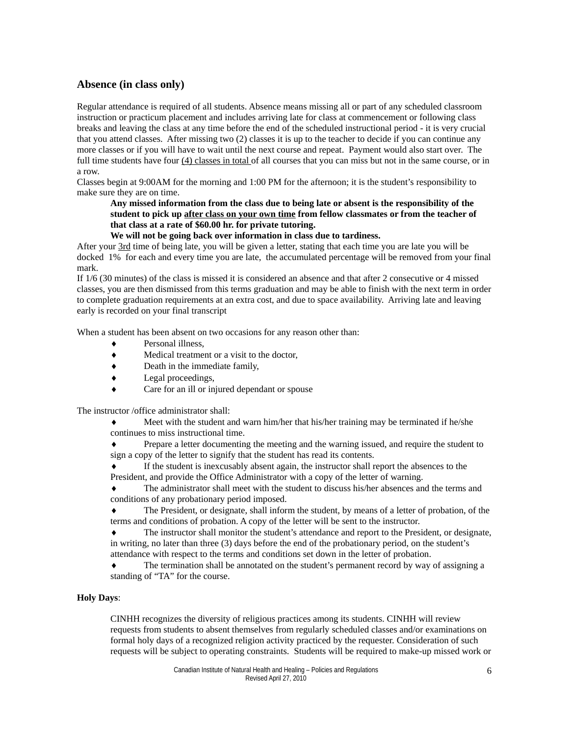# **Absence (in class only)**

Regular attendance is required of all students. Absence means missing all or part of any scheduled classroom instruction or practicum placement and includes arriving late for class at commencement or following class breaks and leaving the class at any time before the end of the scheduled instructional period - it is very crucial that you attend classes. After missing two (2) classes it is up to the teacher to decide if you can continue any more classes or if you will have to wait until the next course and repeat. Payment would also start over. The full time students have four (4) classes in total of all courses that you can miss but not in the same course, or in a row.

Classes begin at 9:00AM for the morning and 1:00 PM for the afternoon; it is the student's responsibility to make sure they are on time.

### **Any missed information from the class due to being late or absent is the responsibility of the student to pick up after class on your own time from fellow classmates or from the teacher of that class at a rate of \$60.00 hr. for private tutoring.**

### **We will not be going back over information in class due to tardiness.**

After your 3rd time of being late, you will be given a letter, stating that each time you are late you will be docked 1% for each and every time you are late, the accumulated percentage will be removed from your final mark.

If 1/6 (30 minutes) of the class is missed it is considered an absence and that after 2 consecutive or 4 missed classes, you are then dismissed from this terms graduation and may be able to finish with the next term in order to complete graduation requirements at an extra cost, and due to space availability. Arriving late and leaving early is recorded on your final transcript

When a student has been absent on two occasions for any reason other than:

- Personal illness,
- ♦ Medical treatment or a visit to the doctor,
- ♦ Death in the immediate family,
- ♦ Legal proceedings,
- Care for an ill or injured dependant or spouse

The instructor /office administrator shall:

Meet with the student and warn him/her that his/her training may be terminated if he/she continues to miss instructional time.

Prepare a letter documenting the meeting and the warning issued, and require the student to sign a copy of the letter to signify that the student has read its contents.

If the student is inexcusably absent again, the instructor shall report the absences to the President, and provide the Office Administrator with a copy of the letter of warning.

The administrator shall meet with the student to discuss his/her absences and the terms and conditions of any probationary period imposed.

The President, or designate, shall inform the student, by means of a letter of probation, of the terms and conditions of probation. A copy of the letter will be sent to the instructor.

The instructor shall monitor the student's attendance and report to the President, or designate, in writing, no later than three (3) days before the end of the probationary period, on the student's attendance with respect to the terms and conditions set down in the letter of probation.

The termination shall be annotated on the student's permanent record by way of assigning a standing of "TA" for the course.

#### **Holy Days**:

CINHH recognizes the diversity of religious practices among its students. CINHH will review requests from students to absent themselves from regularly scheduled classes and/or examinations on formal holy days of a recognized religion activity practiced by the requester. Consideration of such requests will be subject to operating constraints. Students will be required to make-up missed work or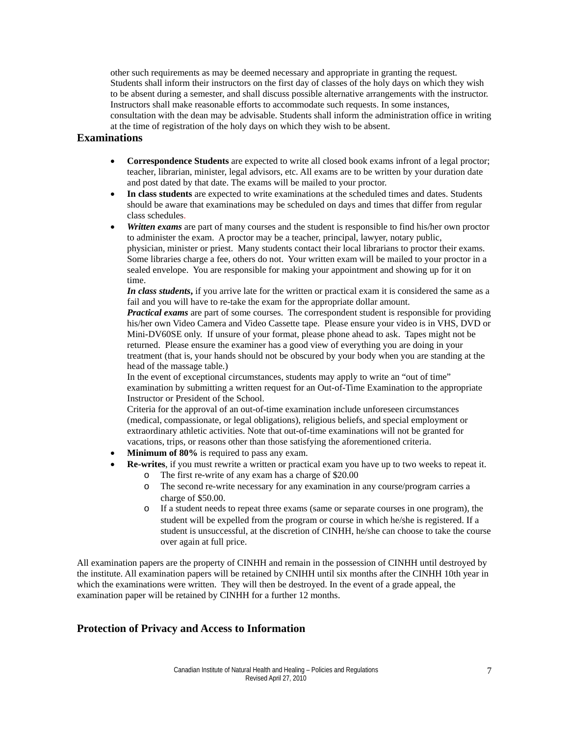other such requirements as may be deemed necessary and appropriate in granting the request. Students shall inform their instructors on the first day of classes of the holy days on which they wish to be absent during a semester, and shall discuss possible alternative arrangements with the instructor. Instructors shall make reasonable efforts to accommodate such requests. In some instances, consultation with the dean may be advisable. Students shall inform the administration office in writing at the time of registration of the holy days on which they wish to be absent.

### **Examinations**

- **Correspondence Students** are expected to write all closed book exams infront of a legal proctor; teacher, librarian, minister, legal advisors, etc. All exams are to be written by your duration date and post dated by that date. The exams will be mailed to your proctor.
- **In class students** are expected to write examinations at the scheduled times and dates. Students should be aware that examinations may be scheduled on days and times that differ from regular class schedules.
- **Written exams** are part of many courses and the student is responsible to find his/her own proctor to administer the exam. A proctor may be a teacher, principal, lawyer, notary public, physician, minister or priest. Many students contact their local librarians to proctor their exams. Some libraries charge a fee, others do not. Your written exam will be mailed to your proctor in a sealed envelope. You are responsible for making your appointment and showing up for it on time.

*In class students***,** if you arrive late for the written or practical exam it is considered the same as a fail and you will have to re-take the exam for the appropriate dollar amount.

*Practical exams* are part of some courses. The correspondent student is responsible for providing his/her own Video Camera and Video Cassette tape. Please ensure your video is in VHS, DVD or Mini-DV60SE only. If unsure of your format, please phone ahead to ask. Tapes might not be returned. Please ensure the examiner has a good view of everything you are doing in your treatment (that is, your hands should not be obscured by your body when you are standing at the head of the massage table.)

In the event of exceptional circumstances, students may apply to write an "out of time" examination by submitting a written request for an Out-of-Time Examination to the appropriate Instructor or President of the School.

Criteria for the approval of an out-of-time examination include unforeseen circumstances (medical, compassionate, or legal obligations), religious beliefs, and special employment or extraordinary athletic activities. Note that out-of-time examinations will not be granted for vacations, trips, or reasons other than those satisfying the aforementioned criteria.

- **Minimum of 80%** is required to pass any exam.
- **Re-writes**, if you must rewrite a written or practical exam you have up to two weeks to repeat it.
	- o The first re-write of any exam has a charge of \$20.00
	- o The second re-write necessary for any examination in any course/program carries a charge of \$50.00.
	- o If a student needs to repeat three exams (same or separate courses in one program), the student will be expelled from the program or course in which he/she is registered. If a student is unsuccessful, at the discretion of CINHH, he/she can choose to take the course over again at full price.

All examination papers are the property of CINHH and remain in the possession of CINHH until destroyed by the institute. All examination papers will be retained by CNIHH until six months after the CINHH 10th year in which the examinations were written. They will then be destroyed. In the event of a grade appeal, the examination paper will be retained by CINHH for a further 12 months.

# **Protection of Privacy and Access to Information**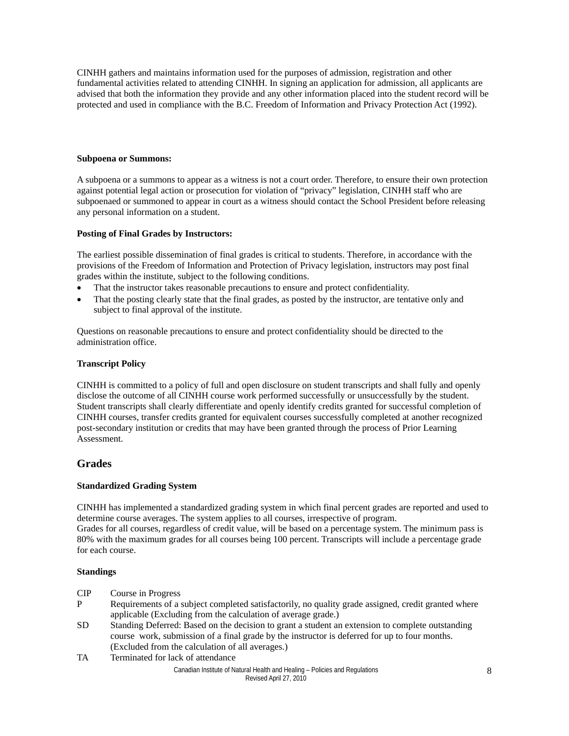CINHH gathers and maintains information used for the purposes of admission, registration and other fundamental activities related to attending CINHH. In signing an application for admission, all applicants are advised that both the information they provide and any other information placed into the student record will be protected and used in compliance with the B.C. Freedom of Information and Privacy Protection Act (1992).

#### **Subpoena or Summons:**

A subpoena or a summons to appear as a witness is not a court order. Therefore, to ensure their own protection against potential legal action or prosecution for violation of "privacy" legislation, CINHH staff who are subpoenaed or summoned to appear in court as a witness should contact the School President before releasing any personal information on a student.

#### **Posting of Final Grades by Instructors:**

The earliest possible dissemination of final grades is critical to students. Therefore, in accordance with the provisions of the Freedom of Information and Protection of Privacy legislation, instructors may post final grades within the institute, subject to the following conditions.

- That the instructor takes reasonable precautions to ensure and protect confidentiality.
- That the posting clearly state that the final grades, as posted by the instructor, are tentative only and subject to final approval of the institute.

Questions on reasonable precautions to ensure and protect confidentiality should be directed to the administration office.

### **Transcript Policy**

CINHH is committed to a policy of full and open disclosure on student transcripts and shall fully and openly disclose the outcome of all CINHH course work performed successfully or unsuccessfully by the student. Student transcripts shall clearly differentiate and openly identify credits granted for successful completion of CINHH courses, transfer credits granted for equivalent courses successfully completed at another recognized post-secondary institution or credits that may have been granted through the process of Prior Learning Assessment.

### **Grades**

### **Standardized Grading System**

CINHH has implemented a standardized grading system in which final percent grades are reported and used to determine course averages. The system applies to all courses, irrespective of program.

Grades for all courses, regardless of credit value, will be based on a percentage system. The minimum pass is 80% with the maximum grades for all courses being 100 percent. Transcripts will include a percentage grade for each course.

### **Standings**

- CIP Course in Progress
- P Requirements of a subject completed satisfactorily, no quality grade assigned, credit granted where applicable (Excluding from the calculation of average grade.)
- SD Standing Deferred: Based on the decision to grant a student an extension to complete outstanding course work, submission of a final grade by the instructor is deferred for up to four months. (Excluded from the calculation of all averages.)
- TA Terminated for lack of attendance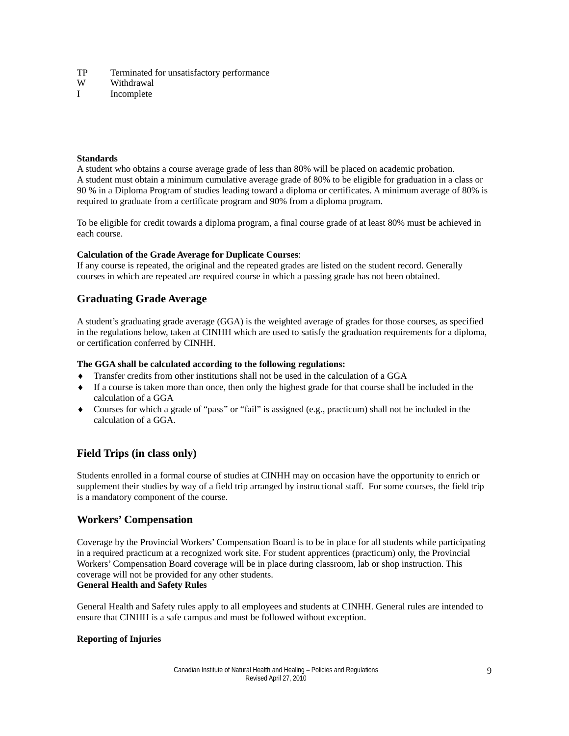- TP Terminated for unsatisfactory performance
- W Withdrawal
- I Incomplete

### **Standards**

A student who obtains a course average grade of less than 80% will be placed on academic probation. A student must obtain a minimum cumulative average grade of 80% to be eligible for graduation in a class or 90 % in a Diploma Program of studies leading toward a diploma or certificates. A minimum average of 80% is required to graduate from a certificate program and 90% from a diploma program.

To be eligible for credit towards a diploma program, a final course grade of at least 80% must be achieved in each course.

#### **Calculation of the Grade Average for Duplicate Courses**:

If any course is repeated, the original and the repeated grades are listed on the student record. Generally courses in which are repeated are required course in which a passing grade has not been obtained.

# **Graduating Grade Average**

A student's graduating grade average (GGA) is the weighted average of grades for those courses, as specified in the regulations below, taken at CINHH which are used to satisfy the graduation requirements for a diploma, or certification conferred by CINHH.

### **The GGA shall be calculated according to the following regulations:**

- Transfer credits from other institutions shall not be used in the calculation of a GGA
- ♦ If a course is taken more than once, then only the highest grade for that course shall be included in the calculation of a GGA
- Courses for which a grade of "pass" or "fail" is assigned (e.g., practicum) shall not be included in the calculation of a GGA.

# **Field Trips (in class only)**

Students enrolled in a formal course of studies at CINHH may on occasion have the opportunity to enrich or supplement their studies by way of a field trip arranged by instructional staff. For some courses, the field trip is a mandatory component of the course.

# **Workers' Compensation**

Coverage by the Provincial Workers' Compensation Board is to be in place for all students while participating in a required practicum at a recognized work site. For student apprentices (practicum) only, the Provincial Workers' Compensation Board coverage will be in place during classroom, lab or shop instruction. This coverage will not be provided for any other students. **General Health and Safety Rules**

General Health and Safety rules apply to all employees and students at CINHH. General rules are intended to ensure that CINHH is a safe campus and must be followed without exception.

### **Reporting of Injuries**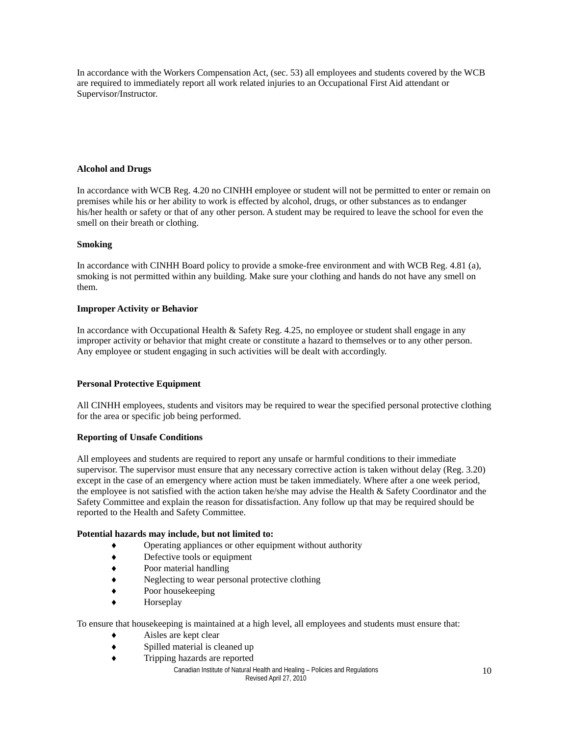In accordance with the Workers Compensation Act, (sec. 53) all employees and students covered by the WCB are required to immediately report all work related injuries to an Occupational First Aid attendant or Supervisor/Instructor.

### **Alcohol and Drugs**

In accordance with WCB Reg. 4.20 no CINHH employee or student will not be permitted to enter or remain on premises while his or her ability to work is effected by alcohol, drugs, or other substances as to endanger his/her health or safety or that of any other person. A student may be required to leave the school for even the smell on their breath or clothing.

#### **Smoking**

In accordance with CINHH Board policy to provide a smoke-free environment and with WCB Reg. 4.81 (a), smoking is not permitted within any building. Make sure your clothing and hands do not have any smell on them.

#### **Improper Activity or Behavior**

In accordance with Occupational Health & Safety Reg. 4.25, no employee or student shall engage in any improper activity or behavior that might create or constitute a hazard to themselves or to any other person. Any employee or student engaging in such activities will be dealt with accordingly.

#### **Personal Protective Equipment**

All CINHH employees, students and visitors may be required to wear the specified personal protective clothing for the area or specific job being performed.

#### **Reporting of Unsafe Conditions**

All employees and students are required to report any unsafe or harmful conditions to their immediate supervisor. The supervisor must ensure that any necessary corrective action is taken without delay (Reg. 3.20) except in the case of an emergency where action must be taken immediately. Where after a one week period, the employee is not satisfied with the action taken he/she may advise the Health & Safety Coordinator and the Safety Committee and explain the reason for dissatisfaction. Any follow up that may be required should be reported to the Health and Safety Committee.

#### **Potential hazards may include, but not limited to:**

- Operating appliances or other equipment without authority
- ♦ Defective tools or equipment
- ♦ Poor material handling
- ♦ Neglecting to wear personal protective clothing
- ♦ Poor housekeeping
- Horseplay

To ensure that housekeeping is maintained at a high level, all employees and students must ensure that:

- Aisles are kept clear
- ♦ Spilled material is cleaned up
- ♦ Tripping hazards are reported

Canadian Institute of Natural Health and Healing – Policies and Regulations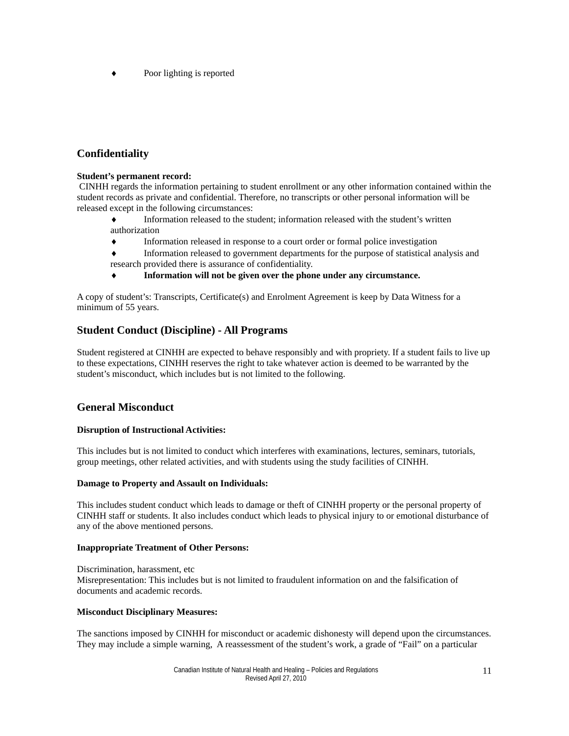♦ Poor lighting is reported

# **Confidentiality**

### **Student's permanent record:**

CINHH regards the information pertaining to student enrollment or any other information contained within the student records as private and confidential. Therefore, no transcripts or other personal information will be released except in the following circumstances:

- Information released to the student; information released with the student's written authorization
- ♦ Information released in response to a court order or formal police investigation
- ♦ Information released to government departments for the purpose of statistical analysis and research provided there is assurance of confidentiality.
- Information will not be given over the phone under any circumstance.

A copy of student's: Transcripts, Certificate(s) and Enrolment Agreement is keep by Data Witness for a minimum of 55 years.

# **Student Conduct (Discipline) - All Programs**

Student registered at CINHH are expected to behave responsibly and with propriety. If a student fails to live up to these expectations, CINHH reserves the right to take whatever action is deemed to be warranted by the student's misconduct, which includes but is not limited to the following.

# **General Misconduct**

# **Disruption of Instructional Activities:**

This includes but is not limited to conduct which interferes with examinations, lectures, seminars, tutorials, group meetings, other related activities, and with students using the study facilities of CINHH.

### **Damage to Property and Assault on Individuals:**

This includes student conduct which leads to damage or theft of CINHH property or the personal property of CINHH staff or students. It also includes conduct which leads to physical injury to or emotional disturbance of any of the above mentioned persons.

### **Inappropriate Treatment of Other Persons:**

Discrimination, harassment, etc Misrepresentation: This includes but is not limited to fraudulent information on and the falsification of documents and academic records.

### **Misconduct Disciplinary Measures:**

The sanctions imposed by CINHH for misconduct or academic dishonesty will depend upon the circumstances. They may include a simple warning, A reassessment of the student's work, a grade of "Fail" on a particular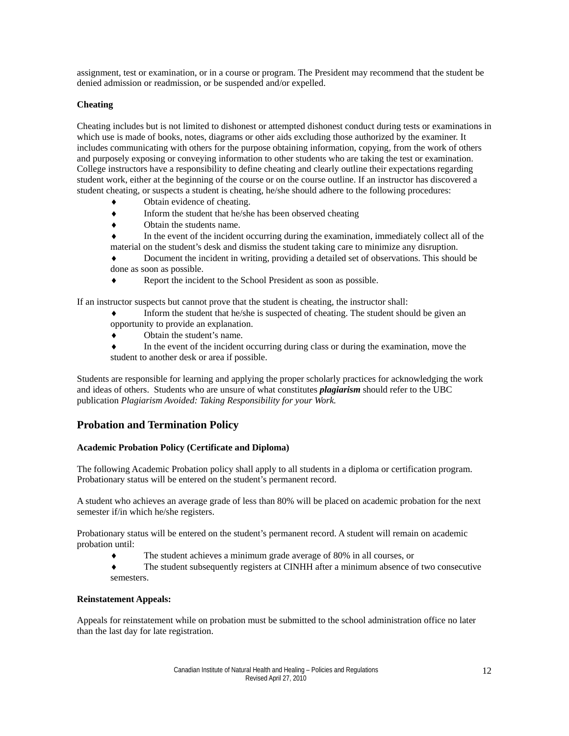assignment, test or examination, or in a course or program. The President may recommend that the student be denied admission or readmission, or be suspended and/or expelled.

### **Cheating**

Cheating includes but is not limited to dishonest or attempted dishonest conduct during tests or examinations in which use is made of books, notes, diagrams or other aids excluding those authorized by the examiner. It includes communicating with others for the purpose obtaining information, copying, from the work of others and purposely exposing or conveying information to other students who are taking the test or examination. College instructors have a responsibility to define cheating and clearly outline their expectations regarding student work, either at the beginning of the course or on the course outline. If an instructor has discovered a student cheating, or suspects a student is cheating, he/she should adhere to the following procedures:

- Obtain evidence of cheating.
- ♦ Inform the student that he/she has been observed cheating
- ♦ Obtain the students name.
- In the event of the incident occurring during the examination, immediately collect all of the material on the student's desk and dismiss the student taking care to minimize any disruption.

Document the incident in writing, providing a detailed set of observations. This should be done as soon as possible.

♦ Report the incident to the School President as soon as possible.

If an instructor suspects but cannot prove that the student is cheating, the instructor shall:

- Inform the student that he/she is suspected of cheating. The student should be given an opportunity to provide an explanation.
- ♦ Obtain the student's name.
- ♦ In the event of the incident occurring during class or during the examination, move the student to another desk or area if possible.

Students are responsible for learning and applying the proper scholarly practices for acknowledging the work and ideas of others. Students who are unsure of what constitutes *plagiarism* should refer to the UBC publication *Plagiarism Avoided: Taking Responsibility for your Work.*

# **Probation and Termination Policy**

### **Academic Probation Policy (Certificate and Diploma)**

The following Academic Probation policy shall apply to all students in a diploma or certification program. Probationary status will be entered on the student's permanent record.

A student who achieves an average grade of less than 80% will be placed on academic probation for the next semester if/in which he/she registers.

Probationary status will be entered on the student's permanent record. A student will remain on academic probation until:

- ♦ The student achieves a minimum grade average of 80% in all courses, or
- ♦ The student subsequently registers at CINHH after a minimum absence of two consecutive semesters.

### **Reinstatement Appeals:**

Appeals for reinstatement while on probation must be submitted to the school administration office no later than the last day for late registration.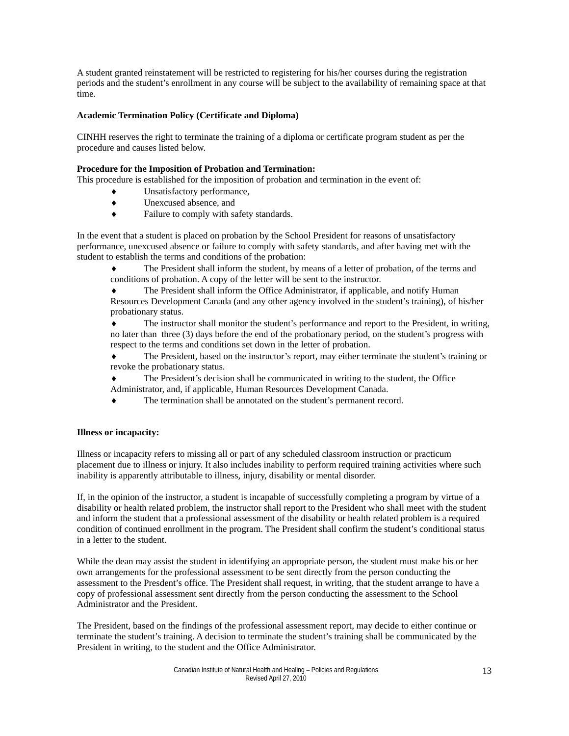A student granted reinstatement will be restricted to registering for his/her courses during the registration periods and the student's enrollment in any course will be subject to the availability of remaining space at that time.

### **Academic Termination Policy (Certificate and Diploma)**

CINHH reserves the right to terminate the training of a diploma or certificate program student as per the procedure and causes listed below.

#### **Procedure for the Imposition of Probation and Termination:**

This procedure is established for the imposition of probation and termination in the event of:

- Unsatisfactory performance,
- ♦ Unexcused absence, and
- ♦ Failure to comply with safety standards.

In the event that a student is placed on probation by the School President for reasons of unsatisfactory performance, unexcused absence or failure to comply with safety standards, and after having met with the student to establish the terms and conditions of the probation:

♦ The President shall inform the student, by means of a letter of probation, of the terms and conditions of probation. A copy of the letter will be sent to the instructor.

The President shall inform the Office Administrator, if applicable, and notify Human

Resources Development Canada (and any other agency involved in the student's training), of his/her probationary status.

The instructor shall monitor the student's performance and report to the President, in writing, no later than three (3) days before the end of the probationary period, on the student's progress with respect to the terms and conditions set down in the letter of probation.

♦ The President, based on the instructor's report, may either terminate the student's training or revoke the probationary status.

- The President's decision shall be communicated in writing to the student, the Office Administrator, and, if applicable, Human Resources Development Canada.
- The termination shall be annotated on the student's permanent record.

#### **Illness or incapacity:**

Illness or incapacity refers to missing all or part of any scheduled classroom instruction or practicum placement due to illness or injury. It also includes inability to perform required training activities where such inability is apparently attributable to illness, injury, disability or mental disorder.

If, in the opinion of the instructor, a student is incapable of successfully completing a program by virtue of a disability or health related problem, the instructor shall report to the President who shall meet with the student and inform the student that a professional assessment of the disability or health related problem is a required condition of continued enrollment in the program. The President shall confirm the student's conditional status in a letter to the student.

While the dean may assist the student in identifying an appropriate person, the student must make his or her own arrangements for the professional assessment to be sent directly from the person conducting the assessment to the Presdent's office. The President shall request, in writing, that the student arrange to have a copy of professional assessment sent directly from the person conducting the assessment to the School Administrator and the President.

The President, based on the findings of the professional assessment report, may decide to either continue or terminate the student's training. A decision to terminate the student's training shall be communicated by the President in writing, to the student and the Office Administrator.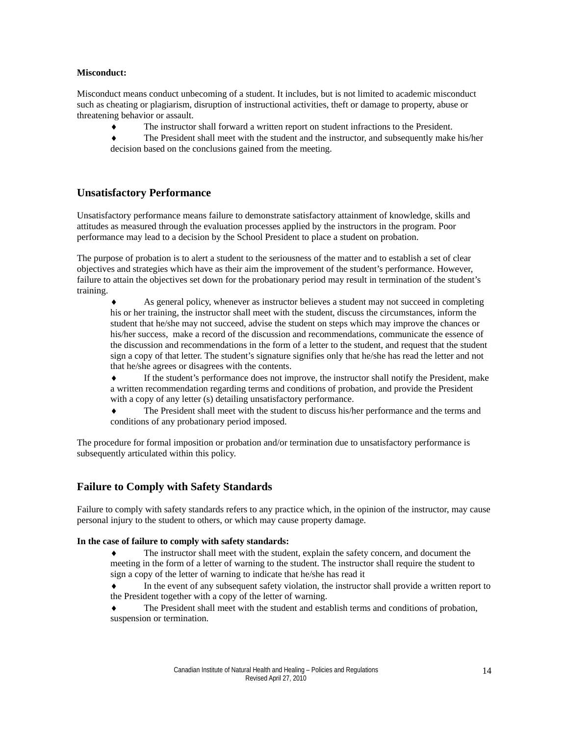#### **Misconduct:**

Misconduct means conduct unbecoming of a student. It includes, but is not limited to academic misconduct such as cheating or plagiarism, disruption of instructional activities, theft or damage to property, abuse or threatening behavior or assault.

♦ The instructor shall forward a written report on student infractions to the President.

The President shall meet with the student and the instructor, and subsequently make his/her decision based on the conclusions gained from the meeting.

# **Unsatisfactory Performance**

Unsatisfactory performance means failure to demonstrate satisfactory attainment of knowledge, skills and attitudes as measured through the evaluation processes applied by the instructors in the program. Poor performance may lead to a decision by the School President to place a student on probation.

The purpose of probation is to alert a student to the seriousness of the matter and to establish a set of clear objectives and strategies which have as their aim the improvement of the student's performance. However, failure to attain the objectives set down for the probationary period may result in termination of the student's training.

As general policy, whenever as instructor believes a student may not succeed in completing his or her training, the instructor shall meet with the student, discuss the circumstances, inform the student that he/she may not succeed, advise the student on steps which may improve the chances or his/her success, make a record of the discussion and recommendations, communicate the essence of the discussion and recommendations in the form of a letter to the student, and request that the student sign a copy of that letter. The student's signature signifies only that he/she has read the letter and not that he/she agrees or disagrees with the contents.

♦ If the student's performance does not improve, the instructor shall notify the President, make a written recommendation regarding terms and conditions of probation, and provide the President with a copy of any letter (s) detailing unsatisfactory performance.

The President shall meet with the student to discuss his/her performance and the terms and conditions of any probationary period imposed.

The procedure for formal imposition or probation and/or termination due to unsatisfactory performance is subsequently articulated within this policy.

# **Failure to Comply with Safety Standards**

Failure to comply with safety standards refers to any practice which, in the opinion of the instructor, may cause personal injury to the student to others, or which may cause property damage.

#### **In the case of failure to comply with safety standards:**

- The instructor shall meet with the student, explain the safety concern, and document the meeting in the form of a letter of warning to the student. The instructor shall require the student to sign a copy of the letter of warning to indicate that he/she has read it
- In the event of any subsequent safety violation, the instructor shall provide a written report to the President together with a copy of the letter of warning.
- The President shall meet with the student and establish terms and conditions of probation, suspension or termination.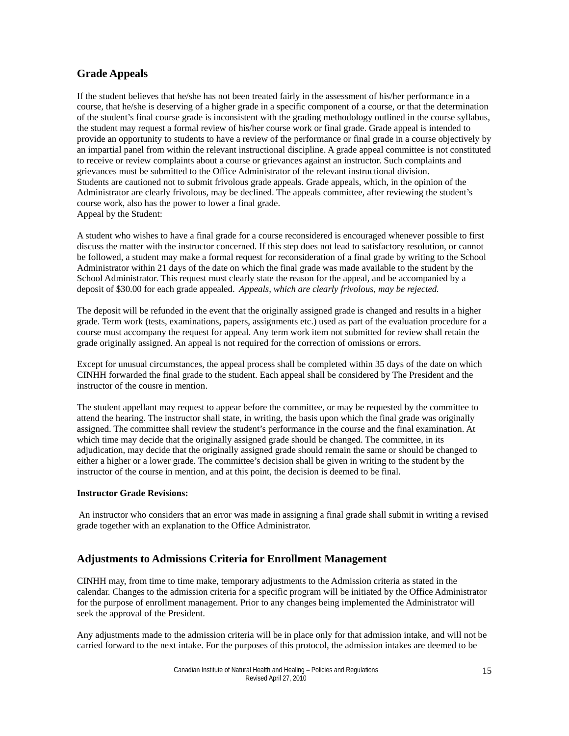# **Grade Appeals**

If the student believes that he/she has not been treated fairly in the assessment of his/her performance in a course, that he/she is deserving of a higher grade in a specific component of a course, or that the determination of the student's final course grade is inconsistent with the grading methodology outlined in the course syllabus, the student may request a formal review of his/her course work or final grade. Grade appeal is intended to provide an opportunity to students to have a review of the performance or final grade in a course objectively by an impartial panel from within the relevant instructional discipline. A grade appeal committee is not constituted to receive or review complaints about a course or grievances against an instructor. Such complaints and grievances must be submitted to the Office Administrator of the relevant instructional division. Students are cautioned not to submit frivolous grade appeals. Grade appeals, which, in the opinion of the Administrator are clearly frivolous, may be declined. The appeals committee, after reviewing the student's course work, also has the power to lower a final grade. Appeal by the Student:

A student who wishes to have a final grade for a course reconsidered is encouraged whenever possible to first discuss the matter with the instructor concerned. If this step does not lead to satisfactory resolution, or cannot be followed, a student may make a formal request for reconsideration of a final grade by writing to the School Administrator within 21 days of the date on which the final grade was made available to the student by the School Administrator. This request must clearly state the reason for the appeal, and be accompanied by a deposit of \$30.00 for each grade appealed. *Appeals, which are clearly frivolous, may be rejected.* 

The deposit will be refunded in the event that the originally assigned grade is changed and results in a higher grade. Term work (tests, examinations, papers, assignments etc.) used as part of the evaluation procedure for a course must accompany the request for appeal. Any term work item not submitted for review shall retain the grade originally assigned. An appeal is not required for the correction of omissions or errors.

Except for unusual circumstances, the appeal process shall be completed within 35 days of the date on which CINHH forwarded the final grade to the student. Each appeal shall be considered by The President and the instructor of the cousre in mention.

The student appellant may request to appear before the committee, or may be requested by the committee to attend the hearing. The instructor shall state, in writing, the basis upon which the final grade was originally assigned. The committee shall review the student's performance in the course and the final examination. At which time may decide that the originally assigned grade should be changed. The committee, in its adjudication, may decide that the originally assigned grade should remain the same or should be changed to either a higher or a lower grade. The committee's decision shall be given in writing to the student by the instructor of the course in mention, and at this point, the decision is deemed to be final.

#### **Instructor Grade Revisions:**

An instructor who considers that an error was made in assigning a final grade shall submit in writing a revised grade together with an explanation to the Office Administrator.

# **Adjustments to Admissions Criteria for Enrollment Management**

CINHH may, from time to time make, temporary adjustments to the Admission criteria as stated in the calendar. Changes to the admission criteria for a specific program will be initiated by the Office Administrator for the purpose of enrollment management. Prior to any changes being implemented the Administrator will seek the approval of the President.

Any adjustments made to the admission criteria will be in place only for that admission intake, and will not be carried forward to the next intake. For the purposes of this protocol, the admission intakes are deemed to be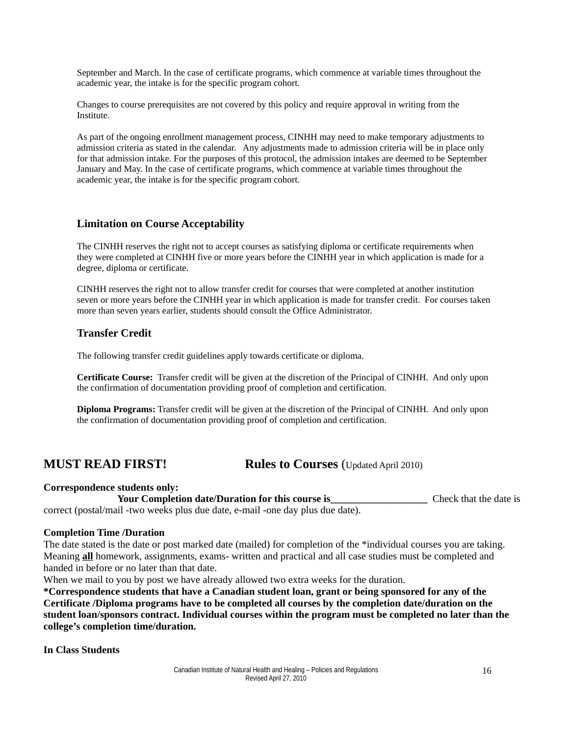September and March. In the case of certificate programs, which commence at variable times throughout the academic year, the intake is for the specific program cohort.

Changes to course prerequisites are not covered by this policy and require approval in writing from the Institute.

As part of the ongoing enrollment management process, CINHH may need to make temporary adjustments to admission criteria as stated in the calendar. Any adjustments made to admission criteria will be in place only for that admission intake. For the purposes of this protocol, the admission intakes are deemed to be September January and May. In the case of certificate programs, which commence at variable times throughout the academic year, the intake is for the specific program cohort.

# **Limitation on Course Acceptability**

The CINHH reserves the right not to accept courses as satisfying diploma or certificate requirements when they were completed at CINHH five or more years before the CINHH year in which application is made for a degree, diploma or certificate.

CINHH reserves the right not to allow transfer credit for courses that were completed at another institution seven or more years before the CINHH year in which application is made for transfer credit. For courses taken more than seven years earlier, students should consult the Office Administrator.

# **Transfer Credit**

The following transfer credit guidelines apply towards certificate or diploma.

**Certificate Course:** Transfer credit will be given at the discretion of the Principal of CINHH. And only upon the confirmation of documentation providing proof of completion and certification.

**Diploma Programs:** Transfer credit will be given at the discretion of the Principal of CINHH. And only upon the confirmation of documentation providing proof of completion and certification.

# **MUST READ FIRST! Rules to Courses** (Updated April 2010)

**Correspondence students only:**

Your Completion date/Duration for this course is\_\_\_\_\_\_\_\_\_\_\_\_\_\_\_\_\_\_\_\_\_\_\_\_\_\_\_\_\_\_\_\_ Check that the date is correct (postal/mail -two weeks plus due date, e-mail -one day plus due date).

### **Completion Time /Duration**

The date stated is the date or post marked date (mailed) for completion of the \*individual courses you are taking. Meaning **all** homework, assignments, exams- written and practical and all case studies must be completed and handed in before or no later than that date.

When we mail to you by post we have already allowed two extra weeks for the duration.

**\*Correspondence students that have a Canadian student loan, grant or being sponsored for any of the Certificate /Diploma programs have to be completed all courses by the completion date/duration on the student loan/sponsors contract. Individual courses within the program must be completed no later than the college's completion time/duration.**

**In Class Students**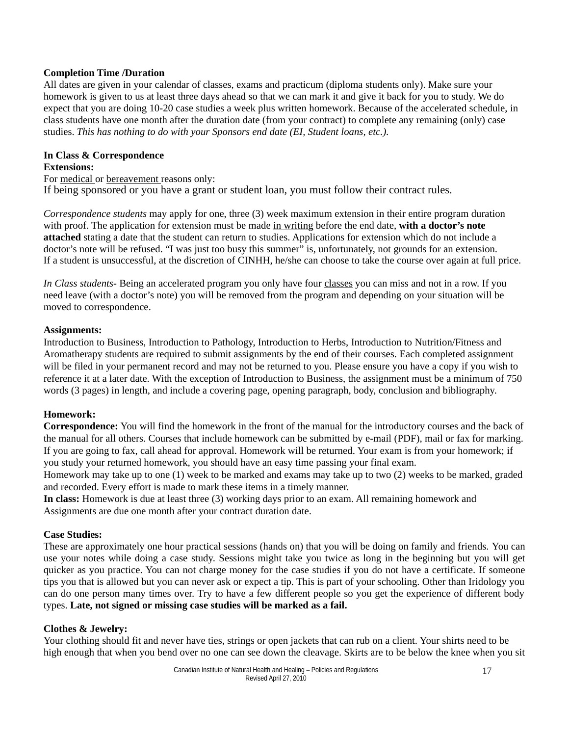# **Completion Time /Duration**

All dates are given in your calendar of classes, exams and practicum (diploma students only). Make sure your homework is given to us at least three days ahead so that we can mark it and give it back for you to study. We do expect that you are doing 10-20 case studies a week plus written homework. Because of the accelerated schedule, in class students have one month after the duration date (from your contract) to complete any remaining (only) case studies. *This has nothing to do with your Sponsors end date (EI, Student loans, etc.).* 

# **In Class & Correspondence**

### **Extensions:**

For medical or bereavement reasons only: If being sponsored or you have a grant or student loan, you must follow their contract rules.

*Correspondence students* may apply for one, three (3) week maximum extension in their entire program duration with proof. The application for extension must be made in writing before the end date, **with a doctor's note attached** stating a date that the student can return to studies. Applications for extension which do not include a doctor's note will be refused. "I was just too busy this summer" is, unfortunately, not grounds for an extension. If a student is unsuccessful, at the discretion of CINHH, he/she can choose to take the course over again at full price.

*In Class students*- Being an accelerated program you only have four classes you can miss and not in a row. If you need leave (with a doctor's note) you will be removed from the program and depending on your situation will be moved to correspondence.

# **Assignments:**

Introduction to Business, Introduction to Pathology, Introduction to Herbs, Introduction to Nutrition/Fitness and Aromatherapy students are required to submit assignments by the end of their courses. Each completed assignment will be filed in your permanent record and may not be returned to you. Please ensure you have a copy if you wish to reference it at a later date. With the exception of Introduction to Business, the assignment must be a minimum of 750 words (3 pages) in length, and include a covering page, opening paragraph, body, conclusion and bibliography.

# **Homework:**

**Correspondence:** You will find the homework in the front of the manual for the introductory courses and the back of the manual for all others. Courses that include homework can be submitted by e-mail (PDF), mail or fax for marking. If you are going to fax, call ahead for approval. Homework will be returned. Your exam is from your homework; if you study your returned homework, you should have an easy time passing your final exam.

Homework may take up to one (1) week to be marked and exams may take up to two (2) weeks to be marked, graded and recorded. Every effort is made to mark these items in a timely manner.

**In class:** Homework is due at least three (3) working days prior to an exam. All remaining homework and Assignments are due one month after your contract duration date.

# **Case Studies:**

These are approximately one hour practical sessions (hands on) that you will be doing on family and friends. You can use your notes while doing a case study. Sessions might take you twice as long in the beginning but you will get quicker as you practice. You can not charge money for the case studies if you do not have a certificate. If someone tips you that is allowed but you can never ask or expect a tip. This is part of your schooling. Other than Iridology you can do one person many times over. Try to have a few different people so you get the experience of different body types. **Late, not signed or missing case studies will be marked as a fail.**

# **Clothes & Jewelry:**

Your clothing should fit and never have ties, strings or open jackets that can rub on a client. Your shirts need to be high enough that when you bend over no one can see down the cleavage. Skirts are to be below the knee when you sit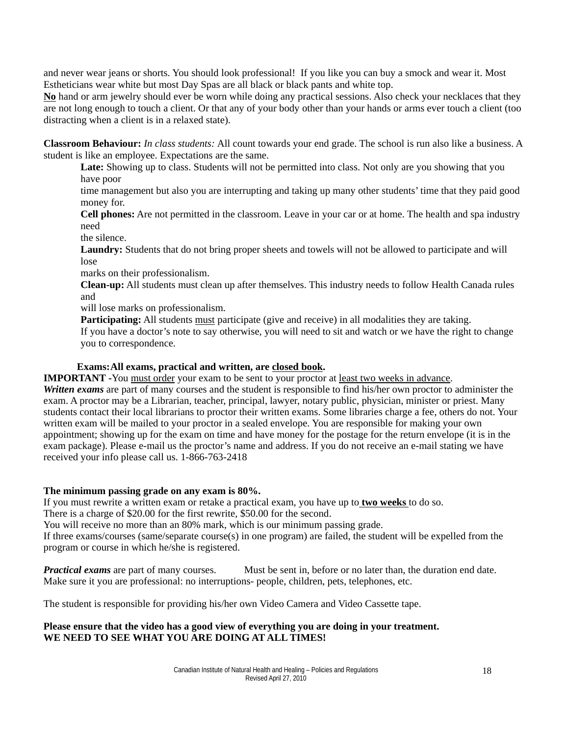and never wear jeans or shorts. You should look professional! If you like you can buy a smock and wear it. Most Estheticians wear white but most Day Spas are all black or black pants and white top.

**No** hand or arm jewelry should ever be worn while doing any practical sessions. Also check your necklaces that they are not long enough to touch a client. Or that any of your body other than your hands or arms ever touch a client (too distracting when a client is in a relaxed state).

**Classroom Behaviour:** *In class students:* All count towards your end grade. The school is run also like a business. A student is like an employee. Expectations are the same.

Late: Showing up to class. Students will not be permitted into class. Not only are you showing that you have poor

time management but also you are interrupting and taking up many other students' time that they paid good money for.

**Cell phones:** Are not permitted in the classroom. Leave in your car or at home. The health and spa industry need

the silence.

**Laundry:** Students that do not bring proper sheets and towels will not be allowed to participate and will lose

marks on their professionalism.

**Clean-up:** All students must clean up after themselves. This industry needs to follow Health Canada rules and

will lose marks on professionalism.

Participating: All students must participate (give and receive) in all modalities they are taking. If you have a doctor's note to say otherwise, you will need to sit and watch or we have the right to change you to correspondence.

### **Exams:All exams, practical and written, are closed book.**

**IMPORTANT** -You must order your exam to be sent to your proctor at <u>least two weeks in advance</u>.

*Written exams* are part of many courses and the student is responsible to find his/her own proctor to administer the exam. A proctor may be a Librarian, teacher, principal, lawyer, notary public, physician, minister or priest. Many students contact their local librarians to proctor their written exams. Some libraries charge a fee, others do not. Your written exam will be mailed to your proctor in a sealed envelope. You are responsible for making your own appointment; showing up for the exam on time and have money for the postage for the return envelope (it is in the exam package). Please e-mail us the proctor's name and address. If you do not receive an e-mail stating we have received your info please call us. 1-866-763-2418

# **The minimum passing grade on any exam is 80%.**

If you must rewrite a written exam or retake a practical exam, you have up to **two weeks** to do so.

There is a charge of \$20.00 for the first rewrite, \$50.00 for the second.

You will receive no more than an 80% mark, which is our minimum passing grade.

If three exams/courses (same/separate course(s) in one program) are failed, the student will be expelled from the program or course in which he/she is registered.

*Practical exams* are part of many courses. Must be sent in, before or no later than, the duration end date. Make sure it you are professional: no interruptions- people, children, pets, telephones, etc.

The student is responsible for providing his/her own Video Camera and Video Cassette tape.

# **Please ensure that the video has a good view of everything you are doing in your treatment. WE NEED TO SEE WHAT YOU ARE DOING AT ALL TIMES!**